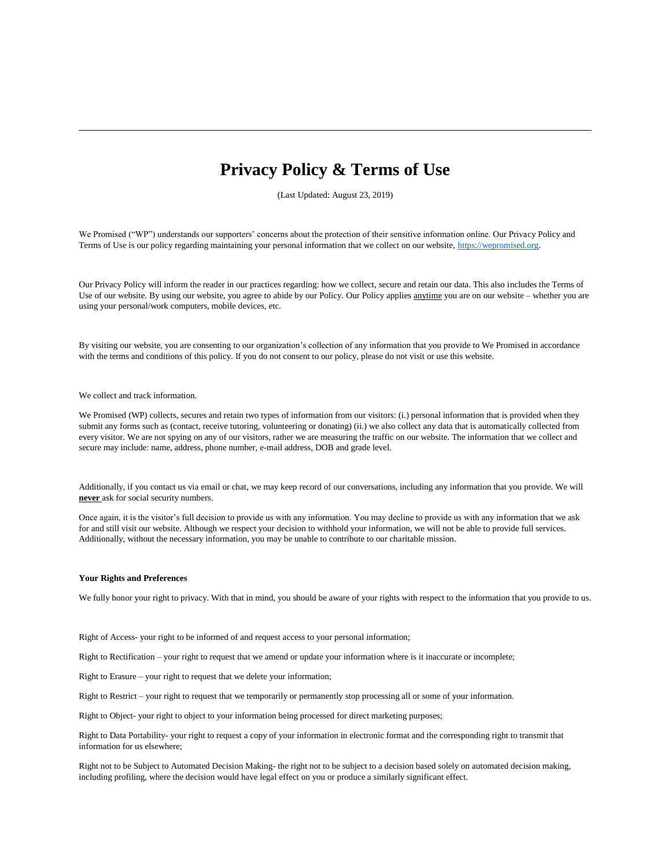# **Privacy Policy & Terms of Use**

(Last Updated: August 23, 2019)

We Promised ("WP") understands our supporters' concerns about the protection of their sensitive information online. Our Privacy Policy and Terms of Use is our policy regarding maintaining your personal information that we collect on our website[, https://wepromised.org.](https://wepromised.org/) 

Our Privacy Policy will inform the reader in our practices regarding: how we collect, secure and retain our data. This also includes the Terms of Use of our website. By using our website, you agree to abide by our Policy. Our Policy applies anytime you are on our website – whether you are using your personal/work computers, mobile devices, etc.

By visiting our website, you are consenting to our organization's collection of any information that you provide to We Promised in accordance with the terms and conditions of this policy. If you do not consent to our policy, please do not visit or use this website.

## We collect and track information.

We Promised (WP) collects, secures and retain two types of information from our visitors: (i.) personal information that is provided when they submit any forms such as (contact, receive tutoring, volunteering or donating) (ii.) we also collect any data that is automatically collected from every visitor. We are not spying on any of our visitors, rather we are measuring the traffic on our website. The information that we collect and secure may include: name, address, phone number, e-mail address, DOB and grade level.

Additionally, if you contact us via email or chat, we may keep record of our conversations, including any information that you provide. We will **never** ask for social security numbers.

Once again, it is the visitor's full decision to provide us with any information. You may decline to provide us with any information that we ask for and still visit our website. Although we respect your decision to withhold your information, we will not be able to provide full services. Additionally, without the necessary information, you may be unable to contribute to our charitable mission.

### **Your Rights and Preferences**

We fully honor your right to privacy. With that in mind, you should be aware of your rights with respect to the information that you provide to us.

Right of Access- your right to be informed of and request access to your personal information;

Right to Rectification – your right to request that we amend or update your information where is it inaccurate or incomplete;

Right to Erasure – your right to request that we delete your information;

Right to Restrict – your right to request that we temporarily or permanently stop processing all or some of your information.

Right to Object- your right to object to your information being processed for direct marketing purposes;

Right to Data Portability- your right to request a copy of your information in electronic format and the corresponding right to transmit that information for us elsewhere;

Right not to be Subject to Automated Decision Making- the right not to be subject to a decision based solely on automated decision making, including profiling, where the decision would have legal effect on you or produce a similarly significant effect.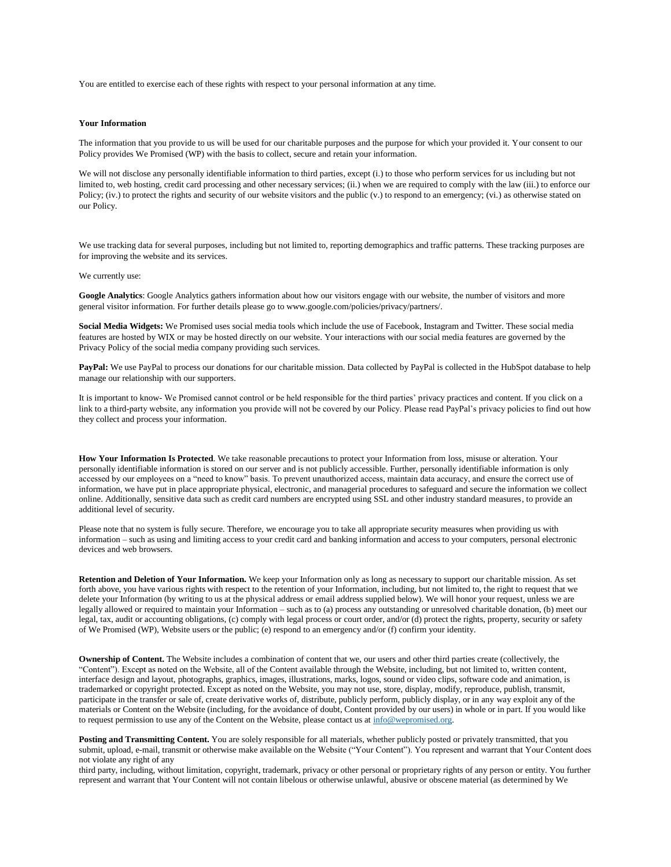You are entitled to exercise each of these rights with respect to your personal information at any time.

#### **Your Information**

The information that you provide to us will be used for our charitable purposes and the purpose for which your provided it. Your consent to our Policy provides We Promised (WP) with the basis to collect, secure and retain your information.

We will not disclose any personally identifiable information to third parties, except (i.) to those who perform services for us including but not limited to, web hosting, credit card processing and other necessary services; (ii.) when we are required to comply with the law (iii.) to enforce our Policy; (iv.) to protect the rights and security of our website visitors and the public (v.) to respond to an emergency; (vi.) as otherwise stated on our Policy.

We use tracking data for several purposes, including but not limited to, reporting demographics and traffic patterns. These tracking purposes are for improving the website and its services.

# We currently use:

**Google Analytics**: Google Analytics gathers information about how our visitors engage with our website, the number of visitors and more general visitor information. For further details please go to www.google.com/policies/privacy/partners/.

**Social Media Widgets:** We Promised uses social media tools which include the use of Facebook, Instagram and Twitter. These social media features are hosted by WIX or may be hosted directly on our website. Your interactions with our social media features are governed by the Privacy Policy of the social media company providing such services.

PayPal: We use PayPal to process our donations for our charitable mission. Data collected by PayPal is collected in the HubSpot database to help manage our relationship with our supporters.

It is important to know- We Promised cannot control or be held responsible for the third parties' privacy practices and content. If you click on a link to a third-party website, any information you provide will not be covered by our Policy. Please read PayPal's privacy policies to find out how they collect and process your information.

**How Your Information Is Protected**. We take reasonable precautions to protect your Information from loss, misuse or alteration. Your personally identifiable information is stored on our server and is not publicly accessible. Further, personally identifiable information is only accessed by our employees on a "need to know" basis. To prevent unauthorized access, maintain data accuracy, and ensure the correct use of information, we have put in place appropriate physical, electronic, and managerial procedures to safeguard and secure the information we collect online. Additionally, sensitive data such as credit card numbers are encrypted using SSL and other industry standard measures, to provide an additional level of security.

Please note that no system is fully secure. Therefore, we encourage you to take all appropriate security measures when providing us with information – such as using and limiting access to your credit card and banking information and access to your computers, personal electronic devices and web browsers.

**Retention and Deletion of Your Information.** We keep your Information only as long as necessary to support our charitable mission. As set forth above, you have various rights with respect to the retention of your Information, including, but not limited to, the right to request that we delete your Information (by writing to us at the physical address or email address supplied below). We will honor your request, unless we are legally allowed or required to maintain your Information – such as to (a) process any outstanding or unresolved charitable donation, (b) meet our legal, tax, audit or accounting obligations, (c) comply with legal process or court order, and/or (d) protect the rights, property, security or safety of We Promised (WP), Website users or the public; (e) respond to an emergency and/or (f) confirm your identity.

**Ownership of Content.** The Website includes a combination of content that we, our users and other third parties create (collectively, the "Content"). Except as noted on the Website, all of the Content available through the Website, including, but not limited to, written content, interface design and layout, photographs, graphics, images, illustrations, marks, logos, sound or video clips, software code and animation, is trademarked or copyright protected. Except as noted on the Website, you may not use, store, display, modify, reproduce, publish, transmit, participate in the transfer or sale of, create derivative works of, distribute, publicly perform, publicly display, or in any way exploit any of the materials or Content on the Website (including, for the avoidance of doubt, Content provided by our users) in whole or in part. If you would like to request permission to use any of the Content on the Website, please contact us a[t info@wepromised.org.](mailto:info@wepromised.org)

Posting and Transmitting Content. You are solely responsible for all materials, whether publicly posted or privately transmitted, that you submit, upload, e-mail, transmit or otherwise make available on the Website ("Your Content"). You represent and warrant that Your Content does not violate any right of any

third party, including, without limitation, copyright, trademark, privacy or other personal or proprietary rights of any person or entity. You further represent and warrant that Your Content will not contain libelous or otherwise unlawful, abusive or obscene material (as determined by We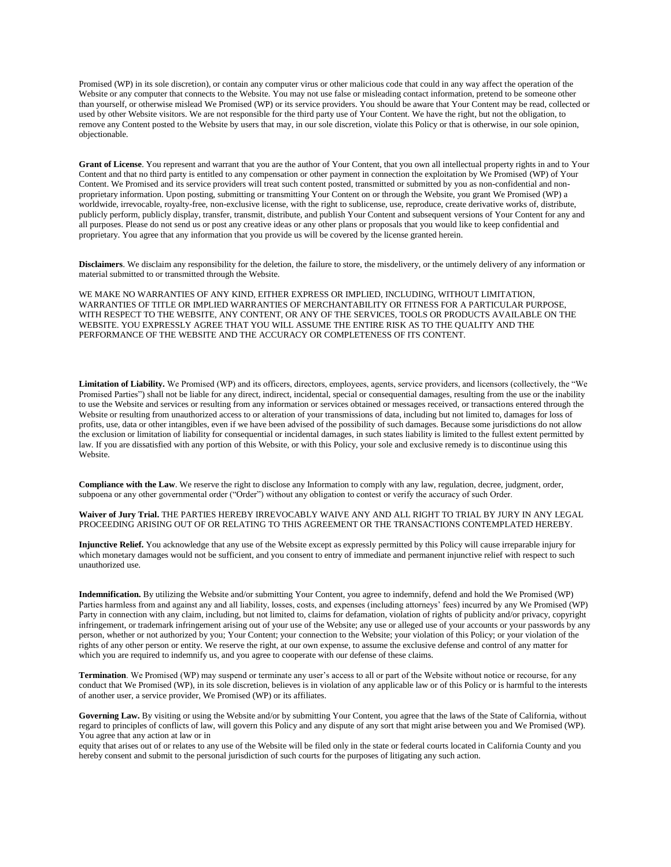Promised (WP) in its sole discretion), or contain any computer virus or other malicious code that could in any way affect the operation of the Website or any computer that connects to the Website. You may not use false or misleading contact information, pretend to be someone other than yourself, or otherwise mislead We Promised (WP) or its service providers. You should be aware that Your Content may be read, collected or used by other Website visitors. We are not responsible for the third party use of Your Content. We have the right, but not the obligation, to remove any Content posted to the Website by users that may, in our sole discretion, violate this Policy or that is otherwise, in our sole opinion, objectionable.

**Grant of License**. You represent and warrant that you are the author of Your Content, that you own all intellectual property rights in and to Your Content and that no third party is entitled to any compensation or other payment in connection the exploitation by We Promised (WP) of Your Content. We Promised and its service providers will treat such content posted, transmitted or submitted by you as non-confidential and nonproprietary information. Upon posting, submitting or transmitting Your Content on or through the Website, you grant We Promised (WP) a worldwide, irrevocable, royalty-free, non-exclusive license, with the right to sublicense, use, reproduce, create derivative works of, distribute, publicly perform, publicly display, transfer, transmit, distribute, and publish Your Content and subsequent versions of Your Content for any and all purposes. Please do not send us or post any creative ideas or any other plans or proposals that you would like to keep confidential and proprietary. You agree that any information that you provide us will be covered by the license granted herein.

**Disclaimers**. We disclaim any responsibility for the deletion, the failure to store, the misdelivery, or the untimely delivery of any information or material submitted to or transmitted through the Website.

WE MAKE NO WARRANTIES OF ANY KIND, EITHER EXPRESS OR IMPLIED, INCLUDING, WITHOUT LIMITATION, WARRANTIES OF TITLE OR IMPLIED WARRANTIES OF MERCHANTABILITY OR FITNESS FOR A PARTICULAR PURPOSE, WITH RESPECT TO THE WEBSITE, ANY CONTENT, OR ANY OF THE SERVICES, TOOLS OR PRODUCTS AVAILABLE ON THE WEBSITE. YOU EXPRESSLY AGREE THAT YOU WILL ASSUME THE ENTIRE RISK AS TO THE QUALITY AND THE PERFORMANCE OF THE WEBSITE AND THE ACCURACY OR COMPLETENESS OF ITS CONTENT.

**Limitation of Liability.** We Promised (WP) and its officers, directors, employees, agents, service providers, and licensors (collectively, the "We Promised Parties") shall not be liable for any direct, indirect, incidental, special or consequential damages, resulting from the use or the inability to use the Website and services or resulting from any information or services obtained or messages received, or transactions entered through the Website or resulting from unauthorized access to or alteration of your transmissions of data, including but not limited to, damages for loss of profits, use, data or other intangibles, even if we have been advised of the possibility of such damages. Because some jurisdictions do not allow the exclusion or limitation of liability for consequential or incidental damages, in such states liability is limited to the fullest extent permitted by law. If you are dissatisfied with any portion of this Website, or with this Policy, your sole and exclusive remedy is to discontinue using this Website.

**Compliance with the Law**. We reserve the right to disclose any Information to comply with any law, regulation, decree, judgment, order, subpoena or any other governmental order ("Order") without any obligation to contest or verify the accuracy of such Order.

**Waiver of Jury Trial.** THE PARTIES HEREBY IRREVOCABLY WAIVE ANY AND ALL RIGHT TO TRIAL BY JURY IN ANY LEGAL PROCEEDING ARISING OUT OF OR RELATING TO THIS AGREEMENT OR THE TRANSACTIONS CONTEMPLATED HEREBY.

**Injunctive Relief.** You acknowledge that any use of the Website except as expressly permitted by this Policy will cause irreparable injury for which monetary damages would not be sufficient, and you consent to entry of immediate and permanent injunctive relief with respect to such unauthorized use.

**Indemnification.** By utilizing the Website and/or submitting Your Content, you agree to indemnify, defend and hold the We Promised (WP) Parties harmless from and against any and all liability, losses, costs, and expenses (including attorneys' fees) incurred by any We Promised (WP) Party in connection with any claim, including, but not limited to, claims for defamation, violation of rights of publicity and/or privacy, copyright infringement, or trademark infringement arising out of your use of the Website; any use or alleged use of your accounts or your passwords by any person, whether or not authorized by you; Your Content; your connection to the Website; your violation of this Policy; or your violation of the rights of any other person or entity. We reserve the right, at our own expense, to assume the exclusive defense and control of any matter for which you are required to indemnify us, and you agree to cooperate with our defense of these claims.

**Termination**. We Promised (WP) may suspend or terminate any user's access to all or part of the Website without notice or recourse, for any conduct that We Promised (WP), in its sole discretion, believes is in violation of any applicable law or of this Policy or is harmful to the interests of another user, a service provider, We Promised (WP) or its affiliates.

Governing Law. By visiting or using the Website and/or by submitting Your Content, you agree that the laws of the State of California, without regard to principles of conflicts of law, will govern this Policy and any dispute of any sort that might arise between you and We Promised (WP). You agree that any action at law or in

equity that arises out of or relates to any use of the Website will be filed only in the state or federal courts located in California County and you hereby consent and submit to the personal jurisdiction of such courts for the purposes of litigating any such action.